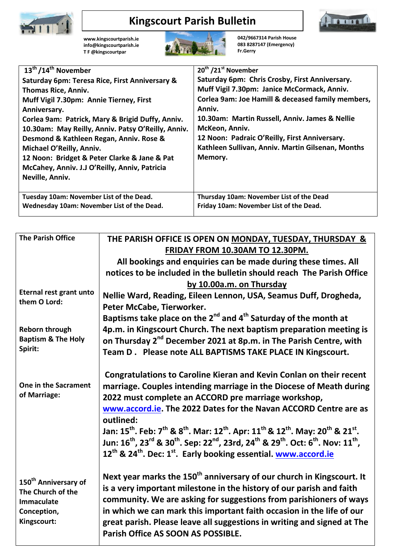

## **Kingscourt Parish Bulletin**



**[www.kingscourtparish.ie](http://www.kingscourtparish.ie/) info@kingscourtparish.ie T F @kingscourtpar** 



**042/9667314 Parish House 083 8287147 (Emergency) Fr.Gerry**

| $\overline{13^{th}}$ /14 <sup>th</sup> November    | 20 <sup>th</sup> /21 <sup>st</sup> November       |
|----------------------------------------------------|---------------------------------------------------|
| Saturday 6pm: Teresa Rice, First Anniversary &     | Saturday 6pm: Chris Crosby, First Anniversary.    |
| Thomas Rice, Anniv.                                | Muff Vigil 7.30pm: Janice McCormack, Anniv.       |
| Muff Vigil 7.30pm: Annie Tierney, First            | Corlea 9am: Joe Hamill & deceased family members, |
| Anniversary.                                       | Anniv.                                            |
| Corlea 9am: Patrick, Mary & Brigid Duffy, Anniv.   | 10.30am: Martin Russell, Anniv. James & Nellie    |
| 10.30am: May Reilly, Anniv. Patsy O'Reilly, Anniv. | McKeon, Anniv.                                    |
| Desmond & Kathleen Regan, Anniv. Rose &            | 12 Noon: Padraic O'Reilly, First Anniversary.     |
| Michael O'Reilly, Anniv.                           | Kathleen Sullivan, Anniv. Martin Gilsenan, Months |
| 12 Noon: Bridget & Peter Clarke & Jane & Pat       | Memory.                                           |
| McCahey, Anniv. J.J O'Reilly, Anniv, Patricia      |                                                   |
| Neville, Anniv.                                    |                                                   |
|                                                    |                                                   |
| Tuesday 10am: November List of the Dead.           | Thursday 10am: November List of the Dead          |
| Wednesday 10am: November List of the Dead.         | Friday 10am: November List of the Dead.           |
|                                                    |                                                   |

| <b>The Parish Office</b>         | THE PARISH OFFICE IS OPEN ON MONDAY, TUESDAY, THURSDAY &                                                                                                                         |
|----------------------------------|----------------------------------------------------------------------------------------------------------------------------------------------------------------------------------|
|                                  | FRIDAY FROM 10.30AM TO 12.30PM.                                                                                                                                                  |
|                                  | All bookings and enquiries can be made during these times. All                                                                                                                   |
|                                  | notices to be included in the bulletin should reach The Parish Office                                                                                                            |
|                                  | by 10.00a.m. on Thursday                                                                                                                                                         |
| Eternal rest grant unto          | Nellie Ward, Reading, Eileen Lennon, USA, Seamus Duff, Drogheda,                                                                                                                 |
| them O Lord:                     | Peter McCabe, Tierworker.                                                                                                                                                        |
|                                  | Baptisms take place on the 2 <sup>nd</sup> and 4 <sup>th</sup> Saturday of the month at                                                                                          |
| <b>Reborn through</b>            | 4p.m. in Kingscourt Church. The next baptism preparation meeting is                                                                                                              |
| <b>Baptism &amp; The Holy</b>    | on Thursday 2 <sup>nd</sup> December 2021 at 8p.m. in The Parish Centre, with                                                                                                    |
| Spirit:                          | Team D. Please note ALL BAPTISMS TAKE PLACE IN Kingscourt.                                                                                                                       |
|                                  |                                                                                                                                                                                  |
|                                  | Congratulations to Caroline Kieran and Kevin Conlan on their recent                                                                                                              |
| One in the Sacrament             | marriage. Couples intending marriage in the Diocese of Meath during                                                                                                              |
| of Marriage:                     | 2022 must complete an ACCORD pre marriage workshop,                                                                                                                              |
|                                  | www.accord.ie. The 2022 Dates for the Navan ACCORD Centre are as                                                                                                                 |
|                                  | outlined:                                                                                                                                                                        |
|                                  | Jan: 15 <sup>th</sup> . Feb: 7 <sup>th</sup> & 8 <sup>th</sup> . Mar: 12 <sup>th</sup> . Apr: 11 <sup>th</sup> & 12 <sup>th</sup> . May: 20 <sup>th</sup> & 21 <sup>st</sup> .   |
|                                  | Jun: 16 <sup>th</sup> , 23 <sup>rd</sup> & 30 <sup>th</sup> . Sep: 22 <sup>nd</sup> , 23rd, 24 <sup>th</sup> & 29 <sup>th</sup> . Oct: 6 <sup>th</sup> . Nov: 11 <sup>th</sup> , |
|                                  | 12 <sup>th</sup> & 24 <sup>th</sup> . Dec: 1 <sup>st</sup> . Early booking essential. www.accord.ie                                                                              |
|                                  |                                                                                                                                                                                  |
| 150 <sup>th</sup> Anniversary of | Next year marks the 150 <sup>th</sup> anniversary of our church in Kingscourt. It                                                                                                |
| The Church of the                | is a very important milestone in the history of our parish and faith                                                                                                             |
| Immaculate                       | community. We are asking for suggestions from parishioners of ways                                                                                                               |
| Conception,                      | in which we can mark this important faith occasion in the life of our                                                                                                            |
| Kingscourt:                      | great parish. Please leave all suggestions in writing and signed at The                                                                                                          |
|                                  | Parish Office AS SOON AS POSSIBLE.                                                                                                                                               |